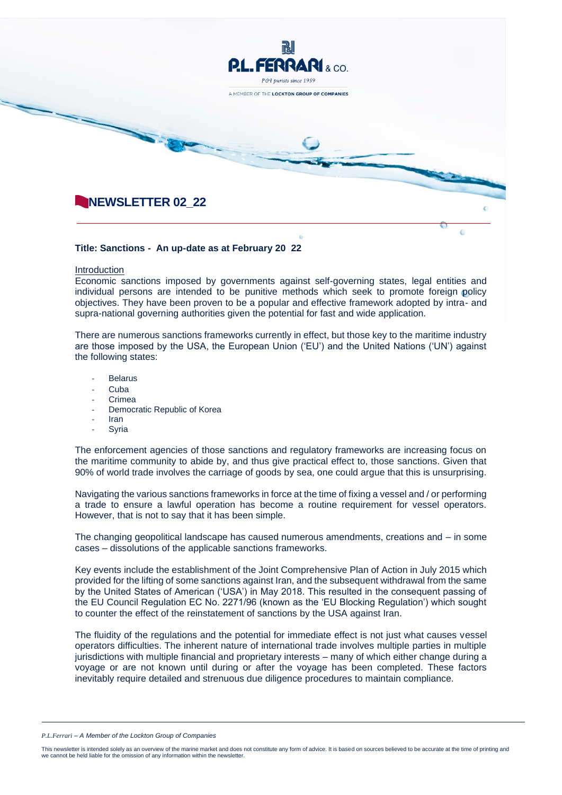

Economic sanctions imposed by governments against self-governing states, legal entities and individual persons are intended to be punitive methods which seek to promote foreign policy objectives. They have been proven to be a popular and effective framework adopted by intra- and supra-national governing authorities given the potential for fast and wide application.

There are numerous sanctions frameworks currently in effect, but those key to the maritime industry are those imposed by the USA, the European Union ('EU') and the United Nations ('UN') against the following states:

- **Belarus**
- **Cuba**
- Crimea
- Democratic Republic of Korea
- **Iran**
- **Syria**

The enforcement agencies of those sanctions and regulatory frameworks are increasing focus on the maritime community to abide by, and thus give practical effect to, those sanctions. Given that 90% of world trade involves the carriage of goods by sea, one could argue that this is unsurprising.

Navigating the various sanctions frameworks in force at the time of fixing a vessel and / or performing a trade to ensure a lawful operation has become a routine requirement for vessel operators. However, that is not to say that it has been simple.

The changing geopolitical landscape has caused numerous amendments, creations and – in some cases – dissolutions of the applicable sanctions frameworks.

Key events include the establishment of the Joint Comprehensive Plan of Action in July 2015 which provided for the lifting of some sanctions against Iran, and the subsequent withdrawal from the same by the United States of American ('USA') in May 2018. This resulted in the consequent passing of the EU Council Regulation EC No. 2271/96 (known as the 'EU Blocking Regulation') which sought to counter the effect of the reinstatement of sanctions by the USA against Iran.

The fluidity of the regulations and the potential for immediate effect is not just what causes vessel operators difficulties. The inherent nature of international trade involves multiple parties in multiple jurisdictions with multiple financial and proprietary interests – many of which either change during a voyage or are not known until during or after the voyage has been completed. These factors inevitably require detailed and strenuous due diligence procedures to maintain compliance.

*P.L.Ferrari – A Member of the Lockton Group of Companies* 

This newsletter is intended solely as an overview of the marine market and does not constitute any form of advice. It is based on sources believed to be accurate at the time of printing and<br>we cannot be held liable for the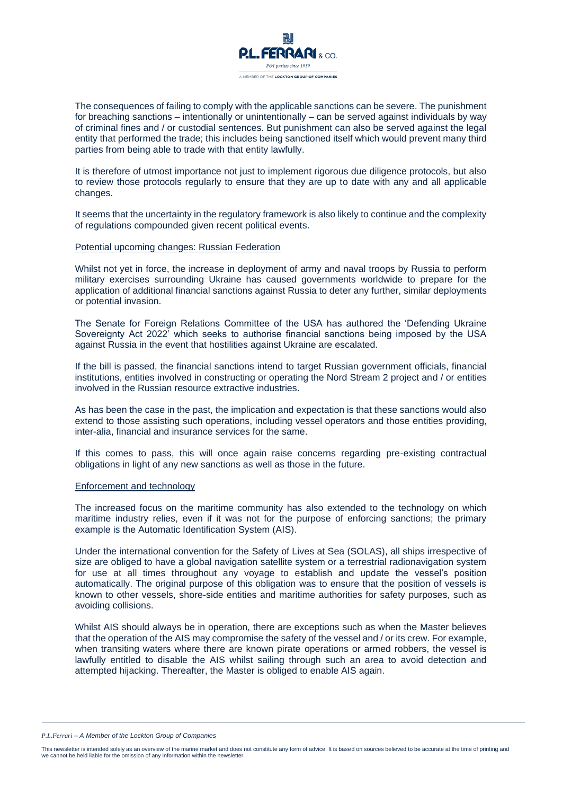

The consequences of failing to comply with the applicable sanctions can be severe. The punishment for breaching sanctions – intentionally or unintentionally – can be served against individuals by way of criminal fines and / or custodial sentences. But punishment can also be served against the legal entity that performed the trade; this includes being sanctioned itself which would prevent many third parties from being able to trade with that entity lawfully.

It is therefore of utmost importance not just to implement rigorous due diligence protocols, but also to review those protocols regularly to ensure that they are up to date with any and all applicable changes.

It seems that the uncertainty in the regulatory framework is also likely to continue and the complexity of regulations compounded given recent political events.

## Potential upcoming changes: Russian Federation

Whilst not yet in force, the increase in deployment of army and naval troops by Russia to perform military exercises surrounding Ukraine has caused governments worldwide to prepare for the application of additional financial sanctions against Russia to deter any further, similar deployments or potential invasion.

The Senate for Foreign Relations Committee of the USA has authored the 'Defending Ukraine Sovereignty Act 2022' which seeks to authorise financial sanctions being imposed by the USA against Russia in the event that hostilities against Ukraine are escalated.

If the bill is passed, the financial sanctions intend to target Russian government officials, financial institutions, entities involved in constructing or operating the Nord Stream 2 project and / or entities involved in the Russian resource extractive industries.

As has been the case in the past, the implication and expectation is that these sanctions would also extend to those assisting such operations, including vessel operators and those entities providing, inter-alia, financial and insurance services for the same.

If this comes to pass, this will once again raise concerns regarding pre-existing contractual obligations in light of any new sanctions as well as those in the future.

## Enforcement and technology

The increased focus on the maritime community has also extended to the technology on which maritime industry relies, even if it was not for the purpose of enforcing sanctions; the primary example is the Automatic Identification System (AIS).

Under the international convention for the Safety of Lives at Sea (SOLAS), all ships irrespective of size are obliged to have a global navigation satellite system or a terrestrial radionavigation system for use at all times throughout any voyage to establish and update the vessel's position automatically. The original purpose of this obligation was to ensure that the position of vessels is known to other vessels, shore-side entities and maritime authorities for safety purposes, such as avoiding collisions.

Whilst AIS should always be in operation, there are exceptions such as when the Master believes that the operation of the AIS may compromise the safety of the vessel and / or its crew. For example, when transiting waters where there are known pirate operations or armed robbers, the vessel is lawfully entitled to disable the AIS whilst sailing through such an area to avoid detection and attempted hijacking. Thereafter, the Master is obliged to enable AIS again.

This newsletter is intended solely as an overview of the marine market and does not constitute any form of advice. It is based on sources believed to be accurate at the time of printing and<br>we cannot be held liable for the

*P.L.Ferrari – A Member of the Lockton Group of Companies*